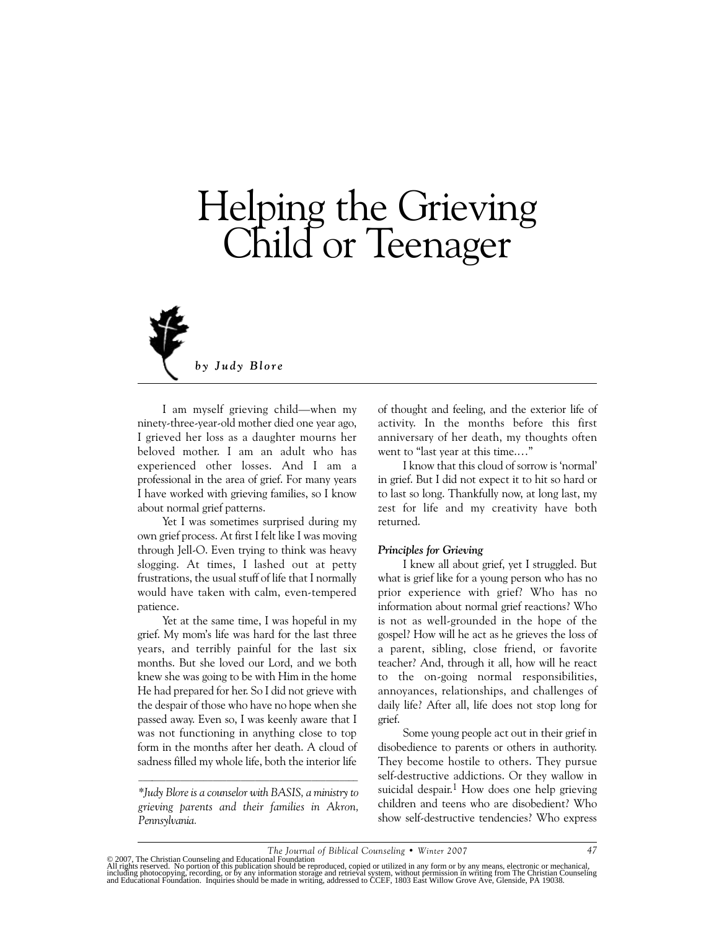# Helping the Grieving Child or Teenager



I am myself grieving child—when my ninety-three-year-old mother died one year ago, I grieved her loss as a daughter mourns her beloved mother. I am an adult who has experienced other losses. And I am a professional in the area of grief. For many years I have worked with grieving families, so I know about normal grief patterns.

Yet I was sometimes surprised during my own grief process. At first I felt like I was moving through Jell-O. Even trying to think was heavy slogging. At times, I lashed out at petty frustrations, the usual stuff of life that I normally would have taken with calm, even-tempered patience.

Yet at the same time, I was hopeful in my grief. My mom's life was hard for the last three years, and terribly painful for the last six months. But she loved our Lord, and we both knew she was going to be with Him in the home He had prepared for her. So I did not grieve with the despair of those who have no hope when she passed away. Even so, I was keenly aware that I was not functioning in anything close to top form in the months after her death. A cloud of sadness filled my whole life, both the interior life

*\*Judy Blore is a counselor with BASIS, a ministry to grieving parents and their families in Akron, Pennsylvania.*

of thought and feeling, and the exterior life of activity. In the months before this first anniversary of her death, my thoughts often went to "last year at this time.…"

I know that this cloud of sorrow is 'normal' in grief. But I did not expect it to hit so hard or to last so long. Thankfully now, at long last, my zest for life and my creativity have both returned.

#### *Principles for Grieving*

I knew all about grief, yet I struggled. But what is grief like for a young person who has no prior experience with grief? Who has no information about normal grief reactions? Who is not as well-grounded in the hope of the gospel? How will he act as he grieves the loss of a parent, sibling, close friend, or favorite teacher? And, through it all, how will he react to the on-going normal responsibilities, annoyances, relationships, and challenges of daily life? After all, life does not stop long for grief.

Some young people act out in their grief in disobedience to parents or others in authority. They become hostile to others. They pursue self-destructive addictions. Or they wallow in suicidal despair.<sup>1</sup> How does one help grieving children and teens who are disobedient? Who show self-destructive tendencies? Who express

<sup>© 2007,</sup> The Christian Counseling and Educational Foundation<br>All rights reserved. No portion of this publication should be reproduced, copied or utilized in any form or by any means, electronic or mechanical,<br>including phot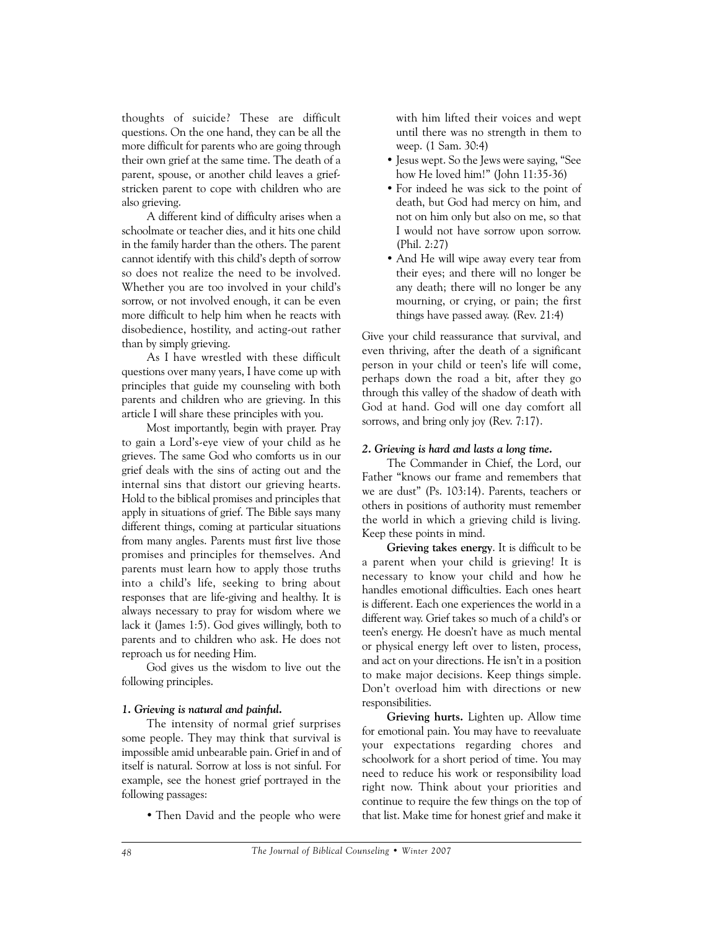thoughts of suicide? These are difficult questions. On the one hand, they can be all the more difficult for parents who are going through their own grief at the same time. The death of a parent, spouse, or another child leaves a griefstricken parent to cope with children who are also grieving.

A different kind of difficulty arises when a schoolmate or teacher dies, and it hits one child in the family harder than the others. The parent cannot identify with this child's depth of sorrow so does not realize the need to be involved. Whether you are too involved in your child's sorrow, or not involved enough, it can be even more difficult to help him when he reacts with disobedience, hostility, and acting-out rather than by simply grieving.

As I have wrestled with these difficult questions over many years, I have come up with principles that guide my counseling with both parents and children who are grieving. In this article I will share these principles with you.

Most importantly, begin with prayer. Pray to gain a Lord's-eye view of your child as he grieves. The same God who comforts us in our grief deals with the sins of acting out and the internal sins that distort our grieving hearts. Hold to the biblical promises and principles that apply in situations of grief. The Bible says many different things, coming at particular situations from many angles. Parents must first live those promises and principles for themselves. And parents must learn how to apply those truths into a child's life, seeking to bring about responses that are life-giving and healthy. It is always necessary to pray for wisdom where we lack it (James 1:5). God gives willingly, both to parents and to children who ask. He does not reproach us for needing Him.

God gives us the wisdom to live out the following principles.

### *1. Grieving is natural and painful.*

The intensity of normal grief surprises some people. They may think that survival is impossible amid unbearable pain. Grief in and of itself is natural. Sorrow at loss is not sinful. For example, see the honest grief portrayed in the following passages:

• Then David and the people who were

with him lifted their voices and wept until there was no strength in them to weep. (1 Sam. 30:4)

- Jesus wept. So the Jews were saying, "See how He loved him!" (John 11:35-36)
- For indeed he was sick to the point of death, but God had mercy on him, and not on him only but also on me, so that I would not have sorrow upon sorrow. (Phil. 2:27)
- And He will wipe away every tear from their eyes; and there will no longer be any death; there will no longer be any mourning, or crying, or pain; the first things have passed away. (Rev. 21:4)

Give your child reassurance that survival, and even thriving, after the death of a significant person in your child or teen's life will come, perhaps down the road a bit, after they go through this valley of the shadow of death with God at hand. God will one day comfort all sorrows, and bring only joy (Rev. 7:17).

### *2. Grieving is hard and lasts a long time.*

The Commander in Chief, the Lord, our Father "knows our frame and remembers that we are dust" (Ps. 103:14). Parents, teachers or others in positions of authority must remember the world in which a grieving child is living. Keep these points in mind.

**Grieving takes energy**. It is difficult to be a parent when your child is grieving! It is necessary to know your child and how he handles emotional difficulties. Each ones heart is different. Each one experiences the world in a different way. Grief takes so much of a child's or teen's energy. He doesn't have as much mental or physical energy left over to listen, process, and act on your directions. He isn't in a position to make major decisions. Keep things simple. Don't overload him with directions or new responsibilities.

**Grieving hurts.** Lighten up. Allow time for emotional pain. You may have to reevaluate your expectations regarding chores and schoolwork for a short period of time. You may need to reduce his work or responsibility load right now. Think about your priorities and continue to require the few things on the top of that list. Make time for honest grief and make it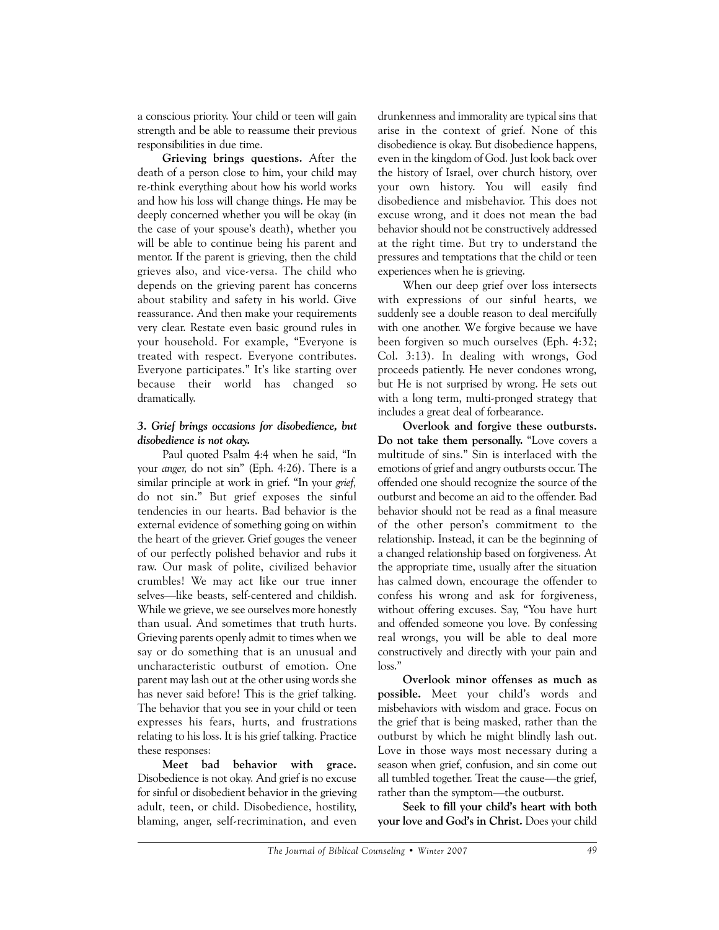a conscious priority. Your child or teen will gain strength and be able to reassume their previous responsibilities in due time.

**Grieving brings questions.** After the death of a person close to him, your child may re-think everything about how his world works and how his loss will change things. He may be deeply concerned whether you will be okay (in the case of your spouse's death), whether you will be able to continue being his parent and mentor. If the parent is grieving, then the child grieves also, and vice-versa. The child who depends on the grieving parent has concerns about stability and safety in his world. Give reassurance. And then make your requirements very clear. Restate even basic ground rules in your household. For example, "Everyone is treated with respect. Everyone contributes. Everyone participates." It's like starting over because their world has changed so dramatically.

## *3. Grief brings occasions for disobedience, but disobedience is not okay.*

Paul quoted Psalm 4:4 when he said, "In your *anger,* do not sin" (Eph. 4:26). There is a similar principle at work in grief. "In your *grief,* do not sin." But grief exposes the sinful tendencies in our hearts. Bad behavior is the external evidence of something going on within the heart of the griever. Grief gouges the veneer of our perfectly polished behavior and rubs it raw. Our mask of polite, civilized behavior crumbles! We may act like our true inner selves—like beasts, self-centered and childish. While we grieve, we see ourselves more honestly than usual. And sometimes that truth hurts. Grieving parents openly admit to times when we say or do something that is an unusual and uncharacteristic outburst of emotion. One parent may lash out at the other using words she has never said before! This is the grief talking. The behavior that you see in your child or teen expresses his fears, hurts, and frustrations relating to his loss. It is his grief talking. Practice these responses:

**Meet bad behavior with grace.** Disobedience is not okay. And grief is no excuse for sinful or disobedient behavior in the grieving adult, teen, or child. Disobedience, hostility, blaming, anger, self-recrimination, and even drunkenness and immorality are typical sins that arise in the context of grief. None of this disobedience is okay. But disobedience happens, even in the kingdom of God. Just look back over the history of Israel, over church history, over your own history. You will easily find disobedience and misbehavior. This does not excuse wrong, and it does not mean the bad behavior should not be constructively addressed at the right time. But try to understand the pressures and temptations that the child or teen experiences when he is grieving.

When our deep grief over loss intersects with expressions of our sinful hearts, we suddenly see a double reason to deal mercifully with one another. We forgive because we have been forgiven so much ourselves (Eph. 4:32; Col. 3:13). In dealing with wrongs, God proceeds patiently. He never condones wrong, but He is not surprised by wrong. He sets out with a long term, multi-pronged strategy that includes a great deal of forbearance.

**Overlook and forgive these outbursts. Do not take them personally.** "Love covers a multitude of sins." Sin is interlaced with the emotions of grief and angry outbursts occur. The offended one should recognize the source of the outburst and become an aid to the offender. Bad behavior should not be read as a final measure of the other person's commitment to the relationship. Instead, it can be the beginning of a changed relationship based on forgiveness. At the appropriate time, usually after the situation has calmed down, encourage the offender to confess his wrong and ask for forgiveness, without offering excuses. Say, "You have hurt and offended someone you love. By confessing real wrongs, you will be able to deal more constructively and directly with your pain and loss."

**Overlook minor offenses as much as possible.** Meet your child's words and misbehaviors with wisdom and grace. Focus on the grief that is being masked, rather than the outburst by which he might blindly lash out. Love in those ways most necessary during a season when grief, confusion, and sin come out all tumbled together. Treat the cause—the grief, rather than the symptom—the outburst.

**Seek to fill your child's heart with both your love and God's in Christ.** Does your child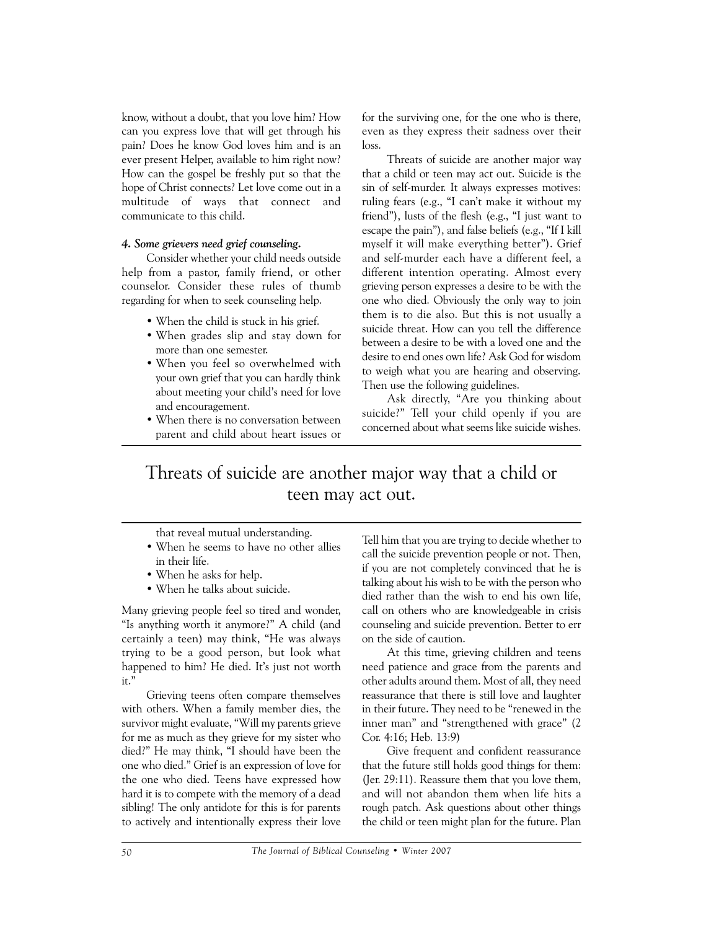know, without a doubt, that you love him? How can you express love that will get through his pain? Does he know God loves him and is an ever present Helper, available to him right now? How can the gospel be freshly put so that the hope of Christ connects? Let love come out in a multitude of ways that connect and communicate to this child.

#### *4. Some grievers need grief counseling.*

Consider whether your child needs outside help from a pastor, family friend, or other counselor. Consider these rules of thumb regarding for when to seek counseling help.

- When the child is stuck in his grief.
- When grades slip and stay down for more than one semester.
- When you feel so overwhelmed with your own grief that you can hardly think about meeting your child's need for love and encouragement.
- When there is no conversation between parent and child about heart issues or

for the surviving one, for the one who is there, even as they express their sadness over their loss.

Threats of suicide are another major way that a child or teen may act out. Suicide is the sin of self-murder. It always expresses motives: ruling fears (e.g., "I can't make it without my friend"), lusts of the flesh (e.g., "I just want to escape the pain"), and false beliefs (e.g., "If I kill myself it will make everything better"). Grief and self-murder each have a different feel, a different intention operating. Almost every grieving person expresses a desire to be with the one who died. Obviously the only way to join them is to die also. But this is not usually a suicide threat. How can you tell the difference between a desire to be with a loved one and the desire to end ones own life? Ask God for wisdom to weigh what you are hearing and observing. Then use the following guidelines.

Ask directly, "Are you thinking about suicide?" Tell your child openly if you are concerned about what seems like suicide wishes.

# Threats of suicide are another major way that a child or teen may act out.

that reveal mutual understanding.

- When he seems to have no other allies in their life.
- When he asks for help.
- When he talks about suicide.

Many grieving people feel so tired and wonder, "Is anything worth it anymore?" A child (and certainly a teen) may think, "He was always trying to be a good person, but look what happened to him? He died. It's just not worth it."

Grieving teens often compare themselves with others. When a family member dies, the survivor might evaluate, "Will my parents grieve for me as much as they grieve for my sister who died?" He may think, "I should have been the one who died." Grief is an expression of love for the one who died. Teens have expressed how hard it is to compete with the memory of a dead sibling! The only antidote for this is for parents to actively and intentionally express their love

Tell him that you are trying to decide whether to call the suicide prevention people or not. Then, if you are not completely convinced that he is talking about his wish to be with the person who died rather than the wish to end his own life, call on others who are knowledgeable in crisis counseling and suicide prevention. Better to err on the side of caution.

At this time, grieving children and teens need patience and grace from the parents and other adults around them. Most of all, they need reassurance that there is still love and laughter in their future. They need to be "renewed in the inner man" and "strengthened with grace" (2 Cor. 4:16; Heb. 13:9)

Give frequent and confident reassurance that the future still holds good things for them: (Jer. 29:11). Reassure them that you love them, and will not abandon them when life hits a rough patch. Ask questions about other things the child or teen might plan for the future. Plan